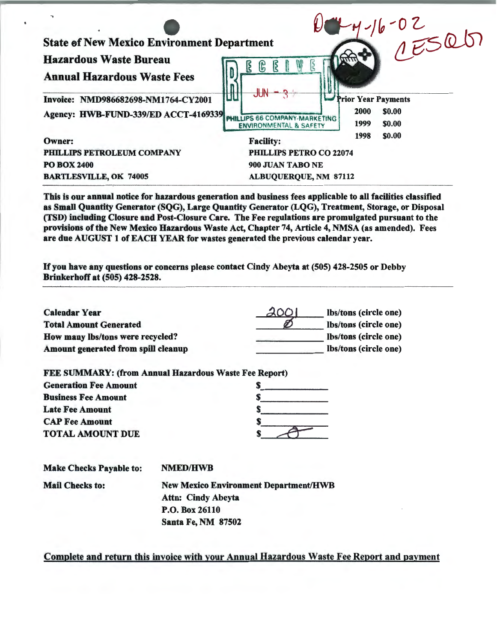| $\mathbf{r}$                                      |                                                                    |                                  |
|---------------------------------------------------|--------------------------------------------------------------------|----------------------------------|
| <b>State of New Mexico Environment Department</b> |                                                                    | $16 - 02$<br>$1500$              |
| <b>Hazardous Waste Bureau</b>                     | $\mathbb{R}$<br>ြို                                                |                                  |
| <b>Annual Hazardous Waste Fees</b>                |                                                                    |                                  |
| Invoice: NMD986682698-NM1764-CY2001               |                                                                    | <b>Prior Year Payments</b>       |
| Agency: HWB-FUND-339/ED ACCT-4169339              | PHILLIPS 66 COMPANY-MARKETING<br><b>ENVIRONMENTAL &amp; SAFETY</b> | 2000<br>\$0.00<br>1999<br>\$0.00 |
| Owner:                                            | <b>Facility:</b>                                                   | 1998<br>\$0.00                   |
| PHILLIPS PETROLEUM COMPANY                        | PHILLIPS PETRO CO 22074                                            |                                  |
| <b>PO BOX 2400</b>                                | 900 JUAN TABO NE                                                   |                                  |
| <b>BARTLESVILLE, OK 74005</b>                     | ALBUQUERQUE, NM 87112                                              |                                  |

This is our annual notice for hazardous generation and business fees applicable to all facilities classified as Small Quantity Generator (SQG), Large Quantity Generator (LQG), Treatment, Storage, or Disposal (TSD) including Closure and Post-Closure Care. The Fee regulations are promulgated pursuant to the provisions of the New Mexico Hazardous Waste Act, Chapter 74, Article 4, NMSA (as amended). Fees are due AUGUST 1 of EACH YEAR for wastes generated the previous calendar year.

If you have any questions or concerns please contact Cindy Abeyta at (505) 428-2505 or Debby Brinkerhoff at (505) 428-2528.

| <b>Calendar Year</b>                | 2001 | lbs/tons (circle one) |
|-------------------------------------|------|-----------------------|
| <b>Total Amount Generated</b>       |      | lbs/tons (circle one) |
| How many lbs/tons were recycled?    |      | lbs/tons (circle one) |
| Amount generated from spill cleanup |      | lbs/tons (circle one) |

| <b>FEE SUMMARY: (from Annual Hazardous Waste Fee Report)</b> |  |
|--------------------------------------------------------------|--|
| <b>Generation Fee Amount</b>                                 |  |
| <b>Business Fee Amount</b>                                   |  |
| <b>Late Fee Amount</b>                                       |  |
| <b>CAP Fee Amount</b>                                        |  |
| <b>TOTAL AMOUNT DUE</b>                                      |  |

| <b>Make Checks Payable to:</b> | <b>NMED/HWB</b>                              |
|--------------------------------|----------------------------------------------|
| <b>Mail Checks to:</b>         | <b>New Mexico Environment Department/HWB</b> |
|                                | <b>Attn: Cindy Abeyta</b>                    |
|                                | P.O. Box 26110                               |
|                                | <b>Santa Fe, NM 87502</b>                    |

Complete and return this invoice with your Annual Hazardous Waste Fee Report and payment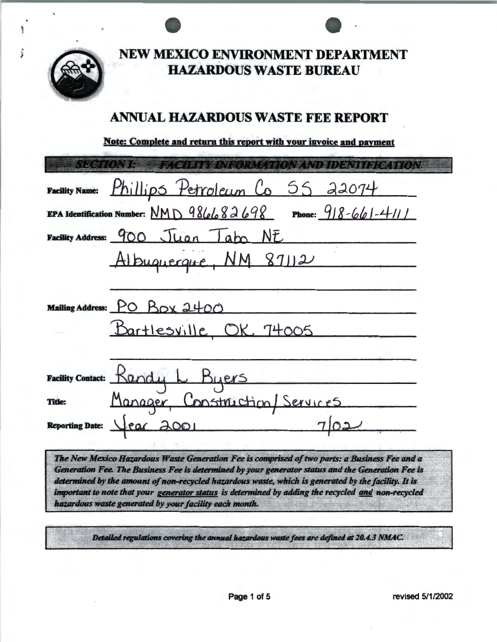

NEW MEXICO ENVIRONMENT DEPARTMENT **HAZARDOUS WASTE BUREAU** 

# **ANNUAL HAZARDOUS WASTE FEE REPORT**

Note: Complete and return this report with your invoice and payment

| <b>SYLCHOMP BERGINING ANGELIATO NAND IDENTIFICATION</b>        |
|----------------------------------------------------------------|
|                                                                |
| Facility Name: Phillips Petroleum Co 55 22074                  |
| EPA Identification Number: $NMD$ 986682698 Phone: 918-661-4111 |
| Facility Address: 900 Juan Tabo NE                             |
| Albuquecque, NM 87112                                          |
|                                                                |
| Mailing Address: PO Box 2400                                   |
| Bartlesville OK 74005                                          |
|                                                                |
| Facility Contact: Randy L Byers                                |
| Manager, Construction/Services<br>Title:                       |
| Reporting Date: Year 2001                                      |
|                                                                |

The New Mexico Hazardous Waste Generation Fee is comprised of two parts: a Business Fee and a Generation Fee. The Business Fee is determined by your generator status and the Generation Fee is determined by the amount of non-recycled hazardous waste, which is generated by the facility. It is important to note that your generator status is determined by adding the recycled and non-recycled hazardous waste generated by your facility each month.

Detailed regulations covering the annual hazardous waste fees are defined at 20.4.3 NMAC.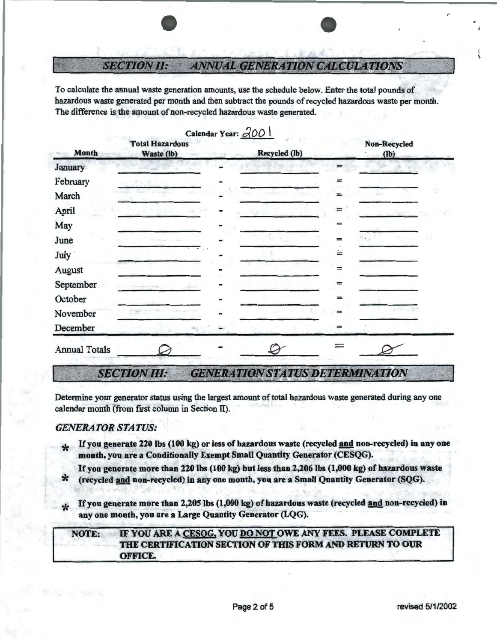## *SECTION II:*  **ANNUAL GENERATION CALCULATIONS**

To calculate the annual waste generation amounts, use the schedule below. Enter the total pounds of hazardous waste generated per month and then subtract the pounds of recycled hazardous waste per month. The difference is the amount of non-recycled hazardous waste generated.

|                      |                                      | Calendar Year: 200 |                                                    |                   |                      |  |
|----------------------|--------------------------------------|--------------------|----------------------------------------------------|-------------------|----------------------|--|
| <b>Month</b>         | <b>Total Hazardous</b><br>Waste (lb) |                    | Recycled (lb)                                      |                   | Non-Recycled<br>(lb) |  |
| January              |                                      |                    |                                                    | l                 |                      |  |
| February             |                                      |                    |                                                    | ≕                 |                      |  |
| March                |                                      |                    |                                                    | $=$               |                      |  |
| April                |                                      |                    |                                                    |                   | 25.7                 |  |
| May                  |                                      |                    |                                                    | $=$               |                      |  |
| June                 |                                      |                    |                                                    | $=$               | . .                  |  |
| July                 |                                      |                    |                                                    | $\stackrel{.}{=}$ |                      |  |
| August               |                                      |                    |                                                    | =                 |                      |  |
| September            |                                      |                    |                                                    | =                 |                      |  |
| October              |                                      |                    |                                                    | =                 |                      |  |
| November             |                                      |                    |                                                    |                   | $1 - 7 - 7$          |  |
| December             |                                      |                    |                                                    | =                 |                      |  |
| <b>Annual Totals</b> |                                      |                    |                                                    |                   |                      |  |
| Communication of the | <b>Mayor Miller</b>                  |                    | ANNUAL LOUI ANY AM LOUIS DURING ALL CENT LOUIS ANY |                   |                      |  |

### *SECTION III:* **GENERATION STATUS DETERMINATION**

Determine your generator status using the largest amount of total hazardous waste generated during any one calendar month (from first column in Section II).

- *GENERATOR STATUS:*<br> **\*** If you generate 220 lbs (100 kg) or less of hazardous waste (recycled <u>and</u> non-recycled) in any one month, you are a Conditionally Exempt Small Quantity Generator (CESQG).
	- If you generate more than 220 lbs (100 kg) but less than 2,206 lbs (1,000 kg) of hazardous waste (recycled and non-recycled) in any one month, you are a Small Quantity Generator (SQG).
	- If you generate more than 2,205 lbs (1,000 kg) of hazardous waste (recycled and non-recycled) in any one month, you are a Large Quantity Generator (LQG).

## NOTE: IF YOU ARE A CESOG, YOU DO NOT OWE ANY FEES. PLEASE COMPLETE THE CERTIFICATION SECTION OF THIS FORM AND RETURN TO OUR OFFICE.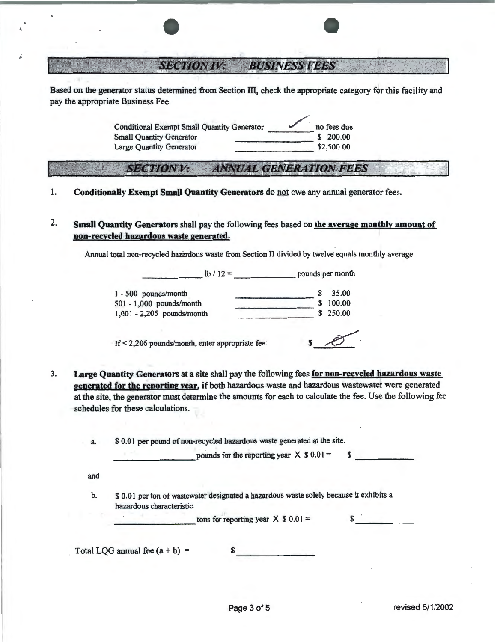## **BUSINESS FEES SECTION IV:**

Based on the generator status determined from Section III, check the appropriate category for this facility and pay the appropriate Business Fee.

> Conditional Exempt Small Quantity Generator 1 1 200.00 no fees due<br>Small Quantity Generator 5 200.00 Small Quantity Generator \$ 200.00 Large Quantity Generator

## ~E<JrJ'ION V: *ANNUA:L GENERATION FEES*

- 1. Conditionally Exempt Small Quantity Generators do not owe any annual generator fees.
- 2. Small Quantity Generators shall pay the following fees based on the average monthly amount of non-recycled hazardous waste generated.

Annual total non-recycled hazardous waste from Section II divided by twelve equals monthly average

 $\frac{1}{b}$  / 12 = pounds per month

| $1 - 500$ pounds/month       | S  | 35.00    |
|------------------------------|----|----------|
| 501 - 1,000 pounds/month     | S. | 100.00   |
| $1,001 - 2,205$ pounds/month |    | \$250.00 |
|                              |    |          |

If < 2,206 pounds/month, enter appropriate fee:  $\bullet$   $\bullet$ 

3. Large Quantity Generators at a site shall pay the following fees for non-recycled hazardous waste generated for the reporting year, if both hazardous waste and hazardous wastewater were generated at the site, the generator must determine the amounts for each to calculate the fee. Use the following fee schedules for these calculations.

|     | pounds for the reporting year $X$ \$ 0.01 =                                             |              |
|-----|-----------------------------------------------------------------------------------------|--------------|
| and |                                                                                         |              |
| b.  | \$ 0.01 per ton of wastewater designated a hazardous waste solely because it exhibits a |              |
|     | hazardous characteristic.                                                               |              |
|     | tons for reporting year $X$ \$ 0.01 =                                                   | $\mathbf{s}$ |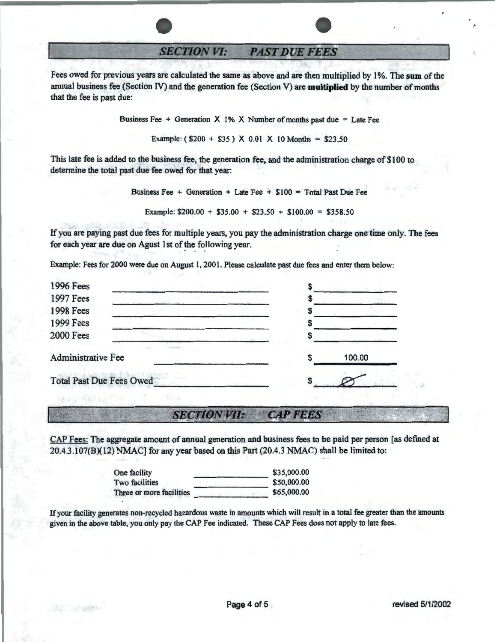**SECTION VI: PAST DUE FEES** 

Fees owed for previous years are calculated the same as above and are then multiplied by 1 %. The **sum** of the annual business fee (Section IV) and the generation fee (Section V) are **multiplied** by the number of months that the fee is past due:

Business Fee  $+$  Generation X 1% X Number of months past due = Late Fee

Example:  $(S200 + S35)$  X 0.01 X 10 Months = \$23.50

This late fee is added to the business fee, the generation fee, and the administration charge of \$100 to determine the total past due fee owed for that year:

Business Fee + Generation + Late Fee +  $$100 = Total$  Past Due Fee

Example:  $$200.00 + $35.00 + $23.50 + $100.00 = $358.50$ 

If you are paying past due fees for multiple years, you pay the administration charge one time only. The fees for each year are due on Agust 1st of the following year.

Example: Fees for 2000 were due on August 1, 2001. Please calculate past due fees and enter them below:

| <b>1996 Fees</b>                |        |
|---------------------------------|--------|
| <b>1997 Fees</b>                |        |
| <b>1998 Fees</b>                |        |
| 1999 Fees                       |        |
| <b>2000 Fees</b>                |        |
| <b>Administrative Fee</b>       | 100.00 |
| <b>Total Past Due Fees Owed</b> |        |
|                                 |        |

#### **SECTION VII: CAP FEES**

CAP Fees: The aggregate amount of annual generation and business fees to be paid per person [as defined at 20.4.3.107(B)(l2) NMAC] for any year based on this Part (20.4.3 NMAC) shall be limited to:

| One facility             | \$35,000.00 |
|--------------------------|-------------|
| <b>Two facilities</b>    | \$50,000.00 |
| Three or more facilities | \$65,000.00 |
|                          |             |

If your facility generates non-recycled hazardous waste in amounts which will result in a total fee greater than the amounts given in the above table, you only pay the CAP Fee indicated. These CAP Fees does not apply to late fees.